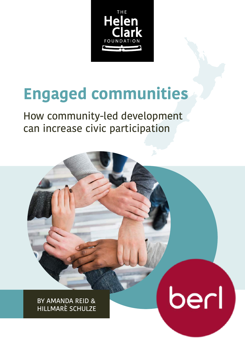

# **Engaged communities**

How community-led development can increase civic participation

berl

BY AMANDA REID & HILLMARÈ SCHULZE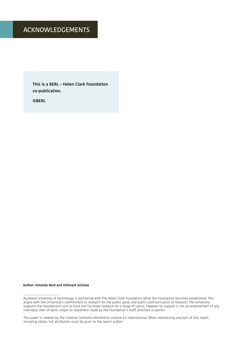#### ACKNOWLEDGEMENTS

**This is a BERL – Helen Clark Foundation co-publication.** 

**©BERL**

#### **Author: Amanda Reid and Hillmarè Schulze**

This paper is covered by the Creative Commons Attribution License 4.0 International. When reproducing any part of this report, including tables, full attribution must be given to the report author.

Auckland University of Technology is partnering with The Helen Clark Foundation while the Foundation becomes established. This aligns with the University's commitment to research for the public good, and public communication of research. The University supports the Foundation's aim to fund and facilitate research on a range of topics; however its support is not an endorsement of any individual item of work, output or statement made by the Foundation's staff, directors or patron.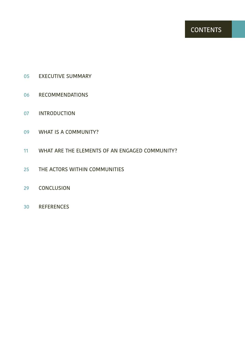- EXECUTIVE SUMMARY
- RECOMMENDATIONS
- INTRODUCTION
- WHAT IS A COMMUNITY?
- WHAT ARE THE ELEMENTS OF AN ENGAGED COMMUNITY?
- THE ACTORS WITHIN COMMUNITIES
- CONCLUSION
- REFERENCES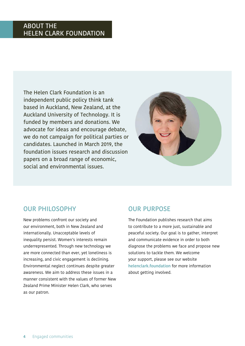#### ABOUT THE HELEN CLARK FOUNDATION

The Helen Clark Foundation is an independent public policy think tank based in Auckland, New Zealand, at the Auckland University of Technology. It is funded by members and donations. We advocate for ideas and encourage debate, we do not campaign for political parties or candidates. Launched in March 2019, the foundation issues research and discussion papers on a broad range of economic, social and environmental issues.



#### OUR PHILOSOPHY

New problems confront our society and our environment, both in New Zealand and internationally. Unacceptable levels of inequality persist. Women's interests remain underrepresented. Through new technology we are more connected than ever, yet loneliness is increasing, and civic engagement is declining. Environmental neglect continues despite greater awareness. We aim to address these issues in a manner consistent with the values of former New Zealand Prime Minister Helen Clark, who serves as our patron.

#### OUR PURPOSE

The Foundation publishes research that aims to contribute to a more just, sustainable and peaceful society. Our goal is to gather, interpret and communicate evidence in order to both diagnose the problems we face and propose new solutions to tackle them. We welcome your support, please see our website **[helenclark.foundation](https://helenclark.foundation/)** for more information about getting involved.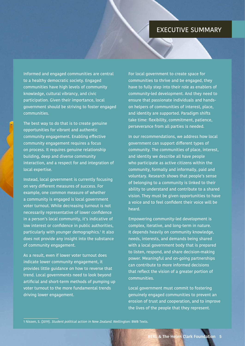#### EXECUTIVE SUMMARY

Informed and engaged communities are central to a healthy democratic society. Engaged communities have high levels of community knowledge, cultural vibrancy, and civic participation. Given their importance, local government should be striving to foster engaged communities.

The best way to do that is to create genuine opportunities for vibrant and authentic community engagement. Enabling effective community engagement requires a focus on process. It requires genuine relationship building, deep and diverse community interaction, and a respect for and integration of local expertise.

Instead, local government is currently focusing on very different measures of success. For example, one common measure of whether a community is engaged is local government voter turnout. While decreasing turnout is not necessarily representative of lower confidence in a person's local community, it's indicative of low interest or confidence in public authorities, particularly with younger demographics.1 It also does not provide any insight into the substance of community engagement.

As a result, even if lower voter turnout does indicate lower community engagement, it provides little guidance on how to reverse that trend. Local governments need to look beyond artificial and short-term methods of pumping up voter turnout to the more fundamental trends driving lower engagement.

For local government to create space for communities to thrive and be engaged, they have to fully step into their role as enablers of community-led development. And they need to ensure that passionate individuals and handson helpers of communities of interest, place, and identity are supported. Paradigm shifts take time: flexibility, commitment, patience, perseverance from all parties is needed.

In our recommendations, we address how local government can support different types of community. The communities of place, interest, and identity we describe all have people who participate as active citizens within the community, formally and informally, paid and voluntary. Research shows that people's sense of belonging to a community is linked to their ability to understand and contribute to a shared vision. They must be given opportunities to have a voice and to feel confident their voice will be heard.

Empowering community-led development is complex, iterative, and long-term in nature. It depends heavily on community knowledge, needs, interests, and demands being shared with a local government body that is prepared to listen, respond, and share decision-making power. Meaningful and on-going partnerships can contribute to more informed decisions that reflect the vision of a greater portion of communities.

Local government must commit to fostering genuinely engaged communities to prevent an erosion of trust and cooperation, and to improve the lives of the people that they represent.

1 Nissen, S. (2019). Student political action in New Zealand. Wellington: BWB Texts.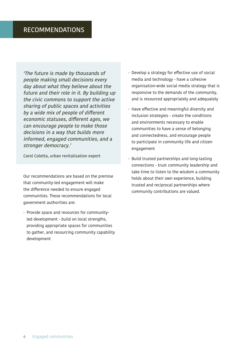'The future is made by thousands of people making small decisions every day about what they believe about the future and their role in it. By building up the civic commons to support the active sharing of public spaces and activities by a wide mix of people of different economic statuses, different ages, we can encourage people to make those decisions in a way that builds more informed, engaged communities, and a stronger democracy.'

Carol Coletta, urban revitalisation expert

Our recommendations are based on the premise that community-led engagement will make the difference needed to ensure engaged communities. These recommendations for local government authorities are:

• Provide space and resources for communityled development - build on local strengths, providing appropriate spaces for communities to gather, and resourcing community capability development

- Develop a strategy for effective use of social media and technology - have a cohesive organisation-wide social media strategy that is responsive to the demands of the community, and is resourced appropriately and adequately
- Have effective and meaningful diversity and inclusion strategies - create the conditions and environments necessary to enable communities to have a sense of belonging and connectedness, and encourage people to participate in community life and citizen engagement
- Build trusted partnerships and long-lasting connections - trust community leadership and take time to listen to the wisdom a community holds about their own experience, building trusted and reciprocal partnerships where community contributions are valued.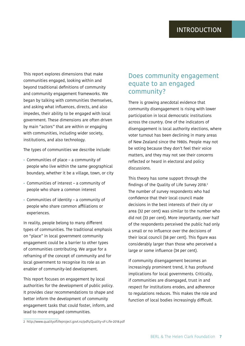This report explores dimensions that make communities engaged, looking within and beyond traditional definitions of community and community engagement frameworks. We began by talking with communities themselves, and asking what influences, directs, and also impedes, their ability to be engaged with local government. These dimensions are often driven by main "actors" that are within or engaging with communities, including wider society, institutions, and also technology.

The types of communities we describe include:

- Communities of place a community of people who live within the same geographical boundary, whether it be a village, town, or city
- Communities of interest a community of people who share a common interest
- Communities of identity a community of people who share common affiliations or experiences.

In reality, people belong to many different types of communities. The traditional emphasis on "place" in local government community engagement could be a barrier to other types of communities contributing. We argue for a reframing of the concept of community and for local government to recognise its role as an enabler of community-led development.

This report focuses on engagement by local authorities for the development of public policy. It provides clear recommendations to shape and better inform the development of community engagement tasks that could foster, inform, and lead to more engaged communities.

# Does community engagement equate to an engaged community?

There is growing anecdotal evidence that community disengagement is rising with lower participation in local democratic institutions across the country. One of the indicators of disengagement is local authority elections, where voter turnout has been declining in many areas of New Zealand since the 1980s. People may not be voting because they don't feel their voice matters, and they may not see their concerns reflected or heard in electoral and policy discussions.

This theory has some support through the findings of the Quality of Life Survey 2018.<sup>2</sup> The number of survey respondents who had confidence that their local council made decisions in the best interests of their city or area (32 per cent) was similar to the number who did not (33 per cent). More importantly, over half of the respondents perceived the public had only a small or no influence over the decisions of their local council (58 per cent). This figure was considerably larger than those who perceived a large or some influence (34 per cent).

If community disengagement becomes an increasingly prominent trend, it has profound implications for local governments. Critically, if communities are disengaged, trust in and respect for institutions erodes, and adherence to regulations reduces. This makes the role and function of local bodies increasingly difficult.

<sup>2</sup> http://www.qualityoflifeproject.govt.nz/pdfs/Quality-of-Life-2018.pdf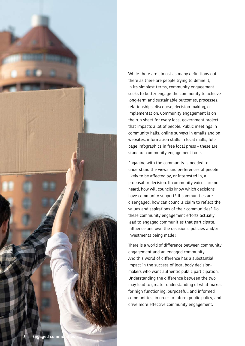

While there are almost as many definitions out there as there are people trying to define it, in its simplest terms, community engagement seeks to better engage the community to achieve long-term and sustainable outcomes, processes, relationships, discourse, decision-making, or implementation. Community engagement is on the run sheet for every local government project that impacts a lot of people. Public meetings in community halls, online surveys in emails and on websites, information stalls in local malls, fullpage infographics in free local press – these are standard community engagement tools.

Engaging with the community is needed to understand the views and preferences of people likely to be affected by, or interested in, a proposal or decision. If community voices are not heard, how will councils know which decisions have community support? If communities are disengaged, how can councils claim to reflect the values and aspirations of their communities? Do these community engagement efforts actually lead to engaged communities that participate, influence and own the decisions, policies and/or investments being made?

There is a world of difference between community engagement and an engaged community. And this world of difference has a substantial impact in the success of local body decisionmakers who want authentic public participation. Understanding the difference between the two may lead to greater understanding of what makes for high functioning, purposeful, and informed communities, in order to inform public policy, and drive more effective community engagement.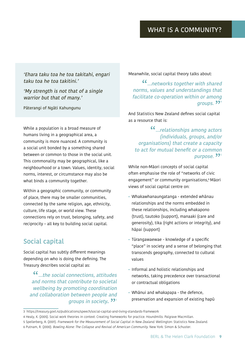'Ehara taku toa he toa takitahi, engari taku toa he toa takitini.'

'My strength is not that of a single warrior but that of many.'

Pāterangi of Ngāti Kahungunu

While a population is a broad measure of humans living in a geographical area, a community is more nuanced. A community is a social unit bonded by a something shared between or common to those in the social unit. This commonality may be geographical, like a neighbourhood or a town. Values, identity, social norms, interest, or circumstance may also be what binds a community together.

Within a geographic community, or community of place, there may be smaller communities, connected by the same religion, age, ethnicity, culture, life stage, or world view. These connections rely on trust, belonging, safety, and reciprocity – all key to building social capital.

# Social capital

Social capital has subtly different meanings depending on who is doing the defining. The Treasury describes social capital as:

"…the social connections, attitudes and norms that contribute to societal wellbeing by promoting coordination and collaboration between people and groups in society**. <sup>??</mark>**</sup>

Meanwhile, social capital theory talks about:

"…networks together with shared norms, values and understandings that facilitate co-operation within or among groups. <sup>994</sup>

And Statistics New Zealand defines social capital as a resource that is:

"…relationships among actors (individuals, groups, and/or organisations) that create a capacity to act for mutual benefit or a common purpose. 22ª

While non-Māori concepts of social capital often emphasise the role of "networks of civic engagement" or community organisations,<sup>6</sup> Māori views of social capital centre on:

- Whakawhanaungatanga extended whānau relationships and the norms embedded in these relationships, including whakapono (trust), tautoko (support), manaaki (care and generosity), tika (right actions or integrity), and hāpai (support)
- Tūrangawaewae knowledge of a specific "place" in society and a sense of belonging that transcends geography, connected to cultural values
- Informal and holistic relationships and networks, taking precedence over transactional or contractual obligations
- Whānui and whakapapa the defence, preservation and expansion of existing hapū

<sup>3</sup> https://treasury.govt.nz/publications/speech/social-capital-and-living-standards-framework

<sup>4</sup> Healy, K. (2005). Social work theories in context: Creating frameworks for practice. Houndmills: Palgrave Macmillan.

<sup>5</sup> Spellerberg, A. (2001). Framework for the Measurement of Social Capital in New Zealand. Wellington: Statistics New Zealand.

<sup>6</sup> Putnam, R. (2000). Bowling Alone: The Collapse and Revival of American Community. New York: Simon & Schuster.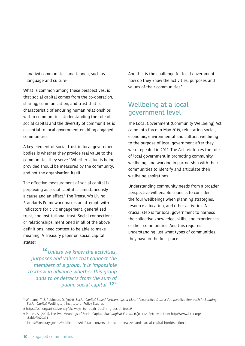and iwi communities, and taonga, such as language and culture<sup>7</sup>

What is common among these perspectives, is that social capital comes from the co-operation, sharing, communication, and trust that is characteristic of enduring human relationships within communities. Understanding the role of social capital and the diversity of communities is essential to local government enabling engaged communities.

A key element of social trust in local government bodies is whether they provide real value to the communities they serve.8 Whether value is being provided should be measured by the community, and not the organisation itself.

The effective measurement of social capital is perplexing as social capital is simultaneously a cause and an effect.9 The Treasury's Living Standards Framework makes an attempt, with indicators for civic engagement, generalised trust, and institutional trust. Social connections or relationships, mentioned in all of the above definitions, need context to be able to make meaning. A Treasury paper on social capital states:

<sup>"</sup> Unless we know the activities, purposes and values that connect the members of a group, it is impossible to know in advance whether this group adds to or detracts from the sum of public social capital. 22<sup>10</sup>

And this is the challenge for local government – how do they know the activities, purposes and values of their communities?

# Wellbeing at a local government level

The Local Government (Community Wellbeing) Act came into force in May 2019, reinstating social, economic, environmental and cultural wellbeing to the purpose of local government after they were repealed in 2012. The Act reinforces the role of local government in promoting community wellbeing, and working in partnership with their communities to identify and articulate their wellbeing aspirations.

Understanding community needs from a broader perspective will enable councils to consider the four wellbeings when planning strategies, resource allocation, and other activities. A crucial step is for local government to harness the collective knowledge, skills, and experiences of their communities. And this requires understanding just what types of communities they have in the first place.

<sup>7</sup> Williams, T, & Robinson, D. (2001). Social Capital Based Partnerships, a Maori Perspective from a Comparative Approach in Building Social Capital. Wellington: Institute of Policy Studies.

<sup>8</sup> https://ssir.org/articles/entry/six\_ways\_to\_repair\_declining\_social\_trust#

<sup>9</sup> Portes, A. (2000). The Two Meanings of Social Capital. Sociological Forum, 15(1), 1-12. Retrieved from http://www.jstor.org/ stable/3070334

<sup>10</sup> https://treasury.govt.nz/publications/dp/start-conversation-value-new-zealands-social-capital-html#section-9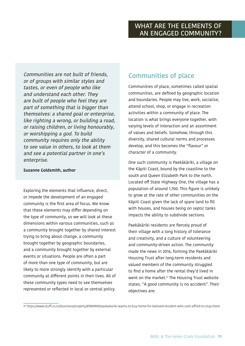Communities are not built of friends, or of groups with similar styles and tastes, or even of people who like and understand each other. They are built of people who feel they are part of something that is bigger than themselves: a shared goal or enterprise, like righting a wrong, or building a road, or raising children, or living honourably, or worshipping a god. To build community requires only the ability to see value in others, to look at them and see a potential partner in one's enterprise.

#### **Suzanne Goldsmith, author**

Exploring the elements that influence, direct, or impede the development of an engaged community is the first area of focus. We know that these elements may differ depending on the type of community, so we will look at these dimensions within various communities, such as a community brought together by shared interest trying to bring about change, a community brought together by geographic boundaries, and a community brought together by external events or situations. People are often a part of more than one type of community, but are likely to more strongly identify with a particular community at different points in their lives. All of these community types need to see themselves represented or reflected in local or central policy.

# Communities of place

Communities of place, sometimes called spatial communities, are defined by geographic location and boundaries. People may live, work, socialise, attend school, shop, or engage in recreation activities within a community of place. The location is what brings everyone together, with varying levels of interaction and an assortment of values and beliefs. Somehow, through this diversity, shared cultural norms and processes develop, and this becomes the "flavour" or character of a community.

One such community is Paekākāriki, a village on the Kāpiti Coast, bound by the coastline to the south and Queen Elizabeth Park to the north. Located off State Highway One, the village has a population of around 1,700. This figure is unlikely to grow at the rate of other communities on the Kāpiti Coast given the lack of spare land to fill with houses, and houses being on septic tanks impacts the ability to subdivide sections.

Paekākāriki residents are fiercely proud of their village with a long history of tolerance and creativity, and a culture of volunteering and community-driven action. The community made the news in 2016, forming the Paekākāriki Housing Trust after long-term residents and valued members of the community struggled to find a home after the rental they'd lived in went on the market.<sup>11</sup> The Housing Trust website states, "A good community is no accident". Their objectives are:

11 https://www.stuff.co.nz/business/property/87809909/paekakariki-wants-to-buy-home-for-beloved-resident-who-cant-afford-to-stay-there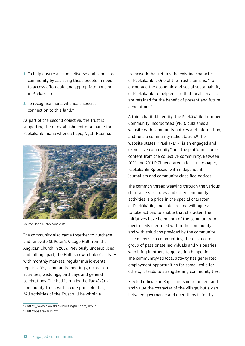- **1.** To help ensure a strong, diverse and connected community by assisting those people in need to access affordable and appropriate housing in Paekākāriki.
- **2.** To recognise mana whenua's special connection to this land.12

As part of the second objective, the Trust is supporting the re-establishment of a marae for Paekākāriki mana whenua hapū, Ngāti Haumia.



Source: John Nicholson/Stuff

The community also came together to purchase and renovate St Peter's Village Hall from the Anglican Church in 2007. Previously underutilised and falling apart, the Hall is now a hub of activity with monthly markets, regular music events, repair cafés, community meetings, recreation activities, weddings, birthdays and general celebrations. The hall is run by the Paekākāriki Community Trust, with a core principle that, "All activities of the Trust will be within a

framework that retains the existing character of Paekākāriki". One of the Trust's aims is, "To encourage the economic and social sustainability of Paekākāriki to help ensure that local services are retained for the benefit of present and future generations".

A third charitable entity, the Paekākāriki Informed Community Incorporated (PICI), publishes a website with community notices and information, and runs a community radio station.<sup>13</sup> The website states, "Paekākāriki is an engaged and expressive community" and the platform sources content from the collective community. Between 2001 and 2011 PICI generated a local newspaper, Paekākāriki Xpressed, with independent journalism and community classified notices.

The common thread weaving through the various charitable structures and other community activities is a pride in the special character of Paekākāriki, and a desire and willingness to take actions to enable that character. The initiatives have been born of the community to meet needs identified within the community, and with solutions provided by the community. Like many such communities, there is a core group of passionate individuals and visionaries who bring in others to get action happening. The community-led local activity has generated employment opportunities for some, while for others, it leads to strengthening community ties.

Elected officials in Kāpiti are said to understand and value the character of the village, but a gap between governance and operations is felt by

<sup>12</sup> https://www.paekakarikihousingtrust.org/about 13 http://paekakariki.nz/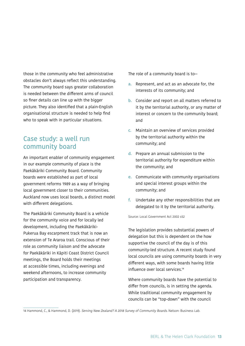those in the community who feel administrative obstacles don't always reflect this understanding. The community board says greater collaboration is needed between the different arms of council so finer details can line up with the bigger picture. They also identified that a plain-English organisational structure is needed to help find who to speak with in particular situations.

#### Case study: a well run community board

An important enabler of community engagement in our example community of place is the Paekākāriki Community Board. Community boards were established as part of local government reforms 1989 as a way of bringing local government closer to their communities. Auckland now uses local boards, a distinct model with different delegations.

The Paekākāriki Community Board is a vehicle for the community voice and for locally led development, including the Paekākāriki-Pukerua Bay escarpment track that is now an extension of Te Araroa trail. Conscious of their role as community liaison and the advocate for Paekākāriki in Kāpiti Coast District Council meetings, the Board holds their meetings at accessible times, including evenings and weekend afternoons, to increase community participation and transparency.

The role of a community board is to—

- **a.** Represent, and act as an advocate for, the interests of its community; and
- **b.** Consider and report on all matters referred to it by the territorial authority, or any matter of interest or concern to the community board; and
- **c.** Maintain an overview of services provided by the territorial authority within the community; and
- **d.** Prepare an annual submission to the territorial authority for expenditure within the community; and
- **e.** Communicate with community organisations and special interest groups within the community; and
- **f.** Undertake any other responsibilities that are delegated to it by the territorial authority.

Source: Local Government Act 2002 s52

The legislation provides substantial powers of delegation but this is dependent on the how supportive the council of the day is of this community-led structure. A recent study found local councils are using community boards in very different ways, with some boards having little influence over local services.14

Where community boards have the potential to differ from councils, is in setting the agenda. While traditional community engagement by councils can be "top-down" with the council

14 Hammond, C., & Hammond, D. (2019). Serving New Zealand? A 2018 Survey of Community Boards. Nelson: Business Lab.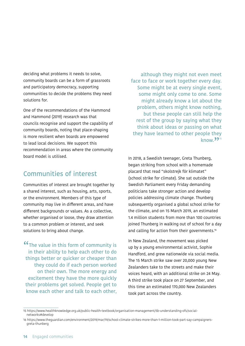deciding what problems it needs to solve, community boards can be a form of grassroots and participatory democracy, supporting communities to decide the problems they need solutions for.

One of the recommendations of the Hammond and Hammond (2019) research was that councils recognise and support the capability of community boards, noting that place-shaping is more resilient when boards are empowered to lead local decisions. We support this recommendation in areas where the community board model is utilised.

## Communities of interest

Communities of interest are brought together by a shared interest, such as housing, arts, sports, or the environment. Members of this type of community may live in different areas, and have different backgrounds or values. As a collective, whether organised or loose, they draw attention to a common problem or interest, and seek solutions to bring about change.

**"The value in this form of community is** in their ability to help each other to do things better or quicker or cheaper than they could do if each person worked on their own. The more energy and excitement they have the more quickly their problems get solved. People get to know each other and talk to each other,

although they might not even meet face to face or work together every day. Some might be at every single event, some might only come to one. Some might already know a lot about the problem, others might know nothing, but these people can still help the rest of the group by saying what they think about ideas or passing on what they have learned to other people they know. $33^{\frac{15}{15}}$ 

In 2018, a Swedish teenager, Greta Thunberg, began striking from school with a homemade placard that read "skolstrejk för klimatet" (school strike for climate). She sat outside the Swedish Parliament every Friday demanding politicians take stronger action and develop policies addressing climate change. Thunberg subsequently organised a global school strike for the climate, and on 15 March 2019, an estimated 1.4 million students from more than 100 countries joined Thunberg in walking out of school for a day and calling for action from their governments.<sup>16</sup>

In New Zealand, the movement was picked up by a young environmental activist, Sophie Handford, and grew nationwide via social media. The 15 March strike saw over 20,000 young New Zealanders take to the streets and make their voices heard, with an additional strike on 24 May. A third strike took place on 27 September, and this time an estimated 170,000 New Zealanders took part across the country.

<sup>15</sup> https://www.healthknowledge.org.uk/public-health-textbook/organisation-management/5b-understanding-ofs/socialnetworks#develop

<sup>16</sup> https://www.theguardian.com/environment/2019/mar/19/school-climate-strikes-more-than-1-million-took-part-say-campaignersgreta-thunberg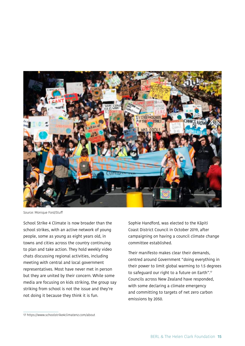

Source: Monique Ford/Stuff

School Strike 4 Climate is now broader than the school strikes, with an active network of young people, some as young as eight years old, in towns and cities across the country continuing to plan and take action. They hold weekly video chats discussing regional activities, including meeting with central and local government representatives. Most have never met in person but they are united by their concern. While some media are focusing on kids striking, the group say striking from school is not the issue and they're not doing it because they think it is fun.

Sophie Handford, was elected to the Kāpiti Coast District Council in October 2019, after campaigning on having a council climate change committee established.

Their manifesto makes clear their demands, centred around Government "doing everything in their power to limit global warming to 1.5 degrees to safeguard our right to a future on Earth".17 Councils across New Zealand have responded, with some declaring a climate emergency and committing to targets of net zero carbon emissions by 2050.

<sup>17</sup> https://www.schoolstrike4climatenz.com/about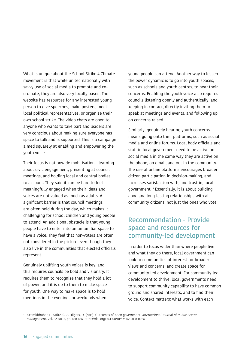What is unique about the School Strike 4 Climate movement is that while united nationally with savvy use of social media to promote and coordinate, they are also very locally based. The website has resources for any interested young person to give speeches, make posters, meet local political representatives, or organise their own school strike. The video chats are open to anyone who wants to take part and leaders are very conscious about making sure everyone has space to talk and is supported. This is a campaign aimed squarely at enabling and empowering the youth voice.

Their focus is nationwide mobilisation – learning about civic engagement, presenting at council meetings, and holding local and central bodies to account. They said it can be hard to feel meaningfully engaged when their ideas and voices are not valued as much as adults. A significant barrier is that council meetings are often held during the day, which makes it challenging for school children and young people to attend. An additional obstacle is that young people have to enter into an unfamiliar space to have a voice. They feel that non-voters are often not considered in the picture even though they also live in the communities that elected officials represent.

Genuinely uplifting youth voices is key, and this requires councils be bold and visionary. It requires them to recognise that they hold a lot of power, and it is up to them to make space for youth. One way to make space is to hold meetings in the evenings or weekends when

young people can attend. Another way to lessen the power dynamic is to go into youth spaces, such as schools and youth centres, to hear their concerns. Enabling the youth voice also requires councils listening openly and authentically, and keeping in contact, directly inviting them to speak at meetings and events, and following up on concerns raised.

Similarly, genuinely hearing youth concerns means going onto their platforms, such as social media and online forums. Local body officials and staff in local government need to be active on social media in the same way they are active on the phone, on email, and out in the community. The use of online platforms encourages broader citizen participation in decision-making, and increases satisfaction with, and trust in, local government.18 Essentially, it is about building good and long-lasting relationships with all community citizens, not just the ones who vote.

## Recommendation - Provide space and resources for community-led development

In order to focus wider than where people live and what they do there, local government can look to communities of interest for broader views and concerns, and create space for community-led development. For community-led development to thrive, local governments need to support community capability to have common ground and shared interests, and to find their voice. Context matters: what works with each

<sup>18</sup> Schmidthuber, L., Stütz, S., & Hilgers, D. (2019), Outcomes of open government. International Journal of Public Sector Management. Vol. 32 No. 5, pp. 438-456. https://doi.org/10.1108/IJPSM-02-2018-0056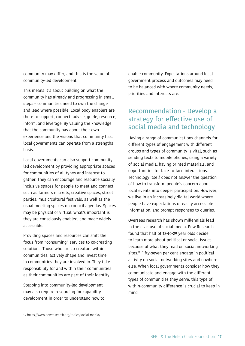community may differ, and this is the value of community-led development.

This means it's about building on what the community has already and progressing in small steps – communities need to own the change and lead where possible. Local body enablers are there to support, connect, advise, guide, resource, inform, and leverage. By valuing the knowledge that the community has about their own experience and the visions that community has, local governments can operate from a strengths basis.

Local governments can also support communityled development by providing appropriate spaces for communities of all types and interest to gather. They can encourage and resource socially inclusive spaces for people to meet and connect, such as farmers markets, creative spaces, street parties, music/cultural festivals, as well as the usual meeting spaces on council agendas. Spaces may be physical or virtual: what's important is they are consciously enabled, and made widely accessible.

Providing spaces and resources can shift the focus from "consuming" services to co-creating solutions. Those who are co-creators within communities, actively shape and invest time in communities they are involved in. They take responsibility for and within their communities as their communities are part of their identity.

Stepping into community-led development may also require resourcing for capability development in order to understand how to enable community. Expectations around local government process and outcomes may need to be balanced with where community needs, priorities and interests are.

## Recommendation - Develop a strategy for effective use of social media and technology

Having a range of communications channels for different types of engagement with different groups and types of community is vital, such as sending texts to mobile phones, using a variety of social media, having printed materials, and opportunities for face-to-face interactions. Technology itself does not answer the question of how to transform people's concern about local events into deeper participation. However, we live in an increasingly digital world where people have expectations of easily accessible information, and prompt responses to queries.

Overseas research has shown millennials lead in the civic use of social media. Pew Research found that half of 18-to-29 year olds decide to learn more about political or social issues because of what they read on social networking sites.19 Fifty-seven per cent engage in political activity on social networking sites and nowhere else. When local governments consider how they communicate and engage with the different types of communities they serve, this type of within-community difference is crucial to keep in mind.

<sup>19</sup> https://www.pewresearch.org/topics/social-media/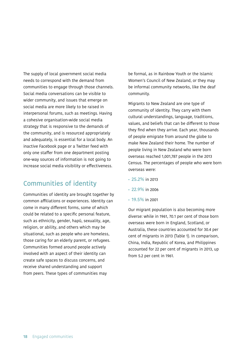The supply of local government social media needs to correspond with the demand from communities to engage through those channels. Social media conversations can be visible to wider community, and issues that emerge on social media are more likely to be raised in interpersonal forums, such as meetings. Having a cohesive organisation-wide social media strategy that is responsive to the demands of the community, and is resourced appropriately and adequately, is essential for a local body. An inactive Facebook page or a Twitter feed with only one staffer from one department posting one-way sources of information is not going to increase social media visibility or effectiveness.

## Communities of identity

Communities of identity are brought together by common affiliations or experiences. Identity can come in many different forms, some of which could be related to a specific personal feature, such as ethnicity, gender, hapū, sexuality, age, religion, or ability, and others which may be situational, such as people who are homeless, those caring for an elderly parent, or refugees. Communities formed around people actively involved with an aspect of their identity can create safe spaces to discuss concerns, and receive shared understanding and support from peers. These types of communities may

be formal, as in Rainbow Youth or the Islamic Women's Council of New Zealand, or they may be informal community networks, like the deaf community.

Migrants to New Zealand are one type of community of identity. They carry with them cultural understandings, language, traditions, values, and beliefs that can be different to those they find when they arrive. Each year, thousands of people emigrate from around the globe to make New Zealand their home. The number of people living in New Zealand who were born overseas reached 1,001,787 people in the 2013 Census. The percentages of people who were born overseas were:

- 25.2% in 2013
- 22.9% in 2006
- 19.5% in 2001

Our migrant population is also becoming more diverse: while in 1961, 70.1 per cent of those born overseas were born in England, Scotland, or Australia, these countries accounted for 30.4 per cent of migrants in 2013 (Table 1). In comparison, China, India, Republic of Korea, and Philippines accounted for 22 per cent of migrants in 2013, up from 5.2 per cent in 1961.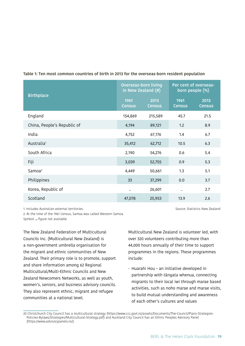| <b>Birthplace</b>           | <b>Overseas-born living</b><br>in New Zealand (#) |                       | Per cent of overseas-<br>born people (%) |                       |
|-----------------------------|---------------------------------------------------|-----------------------|------------------------------------------|-----------------------|
|                             | 1961<br><b>Census</b>                             | 2013<br><b>Census</b> | 1961<br><b>Census</b>                    | 2013<br><b>Census</b> |
| England                     | 154,869                                           | 215,589               | 45.7                                     | 21.5                  |
| China, People's Republic of | 4,194                                             | 89,121                | 1.2                                      | 8.9                   |
| India                       | 4,752                                             | 67,176                | 1.4                                      | 6.7                   |
| Australia <sup>1</sup>      | 35,412                                            | 62,712                | 10.5                                     | 6.3                   |
| South Africa                | 2,190                                             | 54,276                | 0.6                                      | 5.4                   |
| Fiji                        | 3,039                                             | 52,755                | 0.9                                      | 5.3                   |
| Samoa <sup>2</sup>          | 4,449                                             | 50,661                | 1.3                                      | 5.1                   |
| Philippines                 | 33                                                | 37,299                | 0.0                                      | 3.7                   |
| Korea, Republic of          |                                                   | 26,601                | $\ddotsc$                                | 2.7                   |
| Scotland                    | 47,078                                            | 25,953                | 13.9                                     | 2.6                   |

**Table 1: Ten most common countries of birth in 2013 for the overseas-born resident population**

1. Includes Australian external territories.

2. At the time of the 1961 Census, Samoa was called Western Samoa. Symbol: **..** figure not available

The New Zealand Federation of Multicultural Councils Inc. (Multicultural New Zealand) is a non-government umbrella organisation for the migrant and ethnic communities of New Zealand. Their primary role is to promote, support and share information among 62 Regional Multicultural/Multi-Ethnic Councils and New Zealand Newcomers Networks, as well as youth, women's, seniors, and business advisory councils. They also represent ethnic, migrant and refugee communities at a national level.

Multicultural New Zealand is volunteer led, with over 320 volunteers contributing more than 44,000 hours annually of their time to support programmes in the regions. These programmes include:

Source: Statistics New Zealand

• Huarahi Hou – an initiative developed in partnership with tāngata whenua, connecting migrants to their local iwi through marae based activities, such as noho marae and marae visits, to build mutual understanding and awareness of each other's cultures and values

20 Christchurch City Council has a multicultural strategy (https://www.ccc.govt.nz/assets/Documents/The-Council/Plans-Strategies-Policies-Bylaws/Strategies/Multicultural-Strategy.pdf) and Auckland City Council has an Ethnic Peoples Advisory Panel (https://www.advisorypanels.nz/).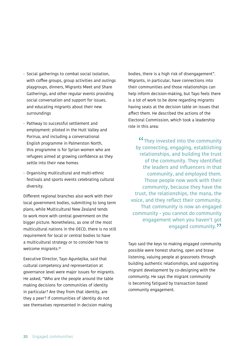- Social gatherings to combat social isolation, with coffee groups, group activities and outings playgroups, dinners, Migrants Meet and Share Gatherings, and other regular events providing social conversation and support for issues, and educating migrants about their new surroundings
- Pathway to successful settlement and employment: piloted in the Hutt Valley and Porirua, and including a conversational English programme in Palmerston North, this programme is for Syrian women who are refugees aimed at growing confidence as they settle into their new homes
- Organising multicultural and multi-ethnic festivals and sports events celebrating cultural diversity.

Different regional branches also work with their local government bodies, submitting to long term plans, while Multicultural New Zealand tends to work more with central government on the bigger picture. Nonetheless, as one of the most multicultural nations in the OECD, there is no still requirement for local or central bodies to have a multicultural strategy or to consider how to welcome migrants.20

Executive Director, Tayo Agunlejika, said that cultural competency and representation at governance level were major issues for migrants. He asked, "Who are the people around the table making decisions for communities of identity in particular? Are they from that identity, are they a peer? If communities of identity do not see themselves represented in decision making

bodies, there is a high risk of disengagement". Migrants, in particular, have connections into their communities and those relationships can help inform decision-making, but Tayo feels there is a lot of work to be done regarding migrants having seats at the decision table on issues that affect them. He described the actions of the Electoral Commission, which took a leadership role in this area:

"They invested into the community by connecting, engaging, establishing relationships, and building the trust of the community. They identified the leaders and influencers in that community, and employed them. Those people now work with their community, because they have the trust, the relationships, the mana, the voice, and they reflect their community. That community is now an engaged community - you cannot do community engagement when you haven't got engaged community.<sup>22</sup>

Tayo said the keys to making engaged community possible were honest sharing, open and brave listening, valuing people at grassroots through building authentic relationships, and supporting migrant development by co-designing with the community. He says the migrant community is becoming fatigued by transaction based community engagement.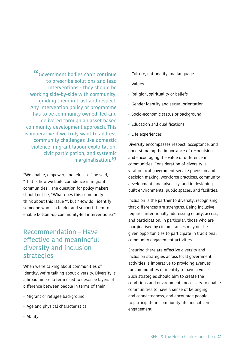Government bodies can't continue "to prescribe solutions and lead interventions - they should be working side-by-side with community, guiding them in trust and respect. Any intervention policy or programme has to be community owned, led and delivered through an asset based community development approach. This is imperative if we truly want to address community challenges like domestic violence, migrant labour exploitation, civic participation, and systemic marginalisation.<sup>22</sup>

"We enable, empower, and educate," he said, "That is how we build confidence in migrant communities". The question for policy makers should not be, "What does this community think about this issue?", but "How do I identify someone who is a leader and support them to enable bottom-up community-led interventions?"

## Recommendation – Have effective and meaningful diversity and inclusion strategies

When we're talking about communities of identity, we're talking about diversity. Diversity is a broad umbrella term used to describe layers of difference between people in terms of their:

- Migrant or refugee background
- Age and physical characteristics
- Ability
- Culture, nationality and language
- Values
- Religion, spirituality or beliefs
- Gender identity and sexual orientation
- Socio-economic status or background
- Education and qualifications
- Life experiences

Diversity encompasses respect, acceptance, and understanding the importance of recognising and encouraging the value of difference in communities. Consideration of diversity is vital in local government service provision and decision making, workforce practices, community development, and advocacy, and in designing built environments, public spaces, and facilities.

Inclusion is the partner to diversity, recognising that differences are strengths. Being inclusive requires intentionally addressing equity, access, and participation. In particular, those who are marginalised by circumstances may not be given opportunities to participate in traditional community engagement activities.

Ensuring there are effective diversity and inclusion strategies across local government activities is imperative to providing avenues for communities of identity to have a voice. Such strategies should aim to create the conditions and environments necessary to enable communities to have a sense of belonging and connectedness, and encourage people to participate in community life and citizen engagement.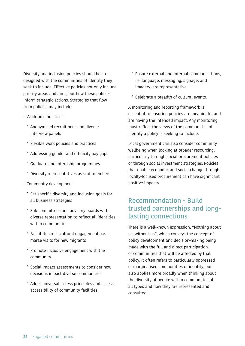Diversity and inclusion policies should be codesigned with the communities of identity they seek to include. Effective policies not only include priority areas and aims, but how these policies inform strategic actions. Strategies that flow from policies may include:

- Workforce practices
	- ˚ Anonymised recruitment and diverse interview panels
	- ˚ Flexible work policies and practices
	- ˚ Addressing gender and ethnicity pay gaps
	- ˚ Graduate and internship programmes
	- ˚ Diversity representatives as staff members
- Community development
	- ˚ Set specific diversity and inclusion goals for all business strategies
	- ˚ Sub-committees and advisory boards with diverse representation to reflect all identities within communities
	- ˚ Facilitate cross-cultural engagement, i.e. marae visits for new migrants
	- ˚ Promote inclusive engagement with the community
	- ˚ Social impact assessments to consider how decisions impact diverse communities
	- ˚ Adopt universal access principles and assess accessibility of community facilities
- ˚ Ensure external and internal communications, i.e. language, messaging, signage, and imagery, are representative
- ˚ Celebrate a breadth of cultural events.

A monitoring and reporting framework is essential to ensuring policies are meaningful and are having the intended impact. Any monitoring must reflect the views of the communities of identity a policy is seeking to include.

Local government can also consider community wellbeing when looking at broader resourcing, particularly through social procurement policies or through social investment strategies. Policies that enable economic and social change through locally-focused procurement can have significant positive impacts.

## Recommendation - Build trusted partnerships and longlasting connections

There is a well-known expression, "Nothing about us, without us", which conveys the concept of policy development and decision-making being made with the full and direct participation of communities that will be affected by that policy. It often refers to particularly oppressed or marginalised communities of identity, but also applies more broadly when thinking about the diversity of people within communities of all types and how they are represented and consulted.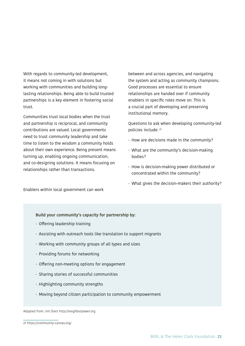With regards to community-led development, it means not coming in with solutions but working with communities and building longlasting relationships. Being able to build trusted partnerships is a key element in fostering social trust.

Communities trust local bodies when the trust and partnership is reciprocal, and community contributions are valued. Local governments need to trust community leadership and take time to listen to the wisdom a community holds about their own experience. Being present means turning up, enabling ongoing communication, and co-designing solutions. It means focusing on relationships rather than transactions.

between and across agencies, and navigating the system and acting as community champions. Good processes are essential to ensure relationships are handed over if community enablers in specific roles move on. This is a crucial part of developing and preserving institutional memory.

Questions to ask when developing community-led policies include: 21

- How are decisions made in the community?
- What are the community's decision-making bodies?
- How is decision-making power distributed or concentrated within the community?
- What gives the decision-makers their authority?

Enablers within local government can work

#### **Build your community's capacity for partnership by:**

- Offering leadership training
- Assisting with outreach tools like translation to support migrants
- Working with community groups of all types and sizes
- Providing forums for networking
- Offering non-meeting options for engagement
- Sharing stories of successful communities
- Highlighting community strengths
- Moving beyond citizen participation to community empowerment

Adapted from: Jim Diers http://neighborpower.org

<sup>21</sup> https://community-canvas.org/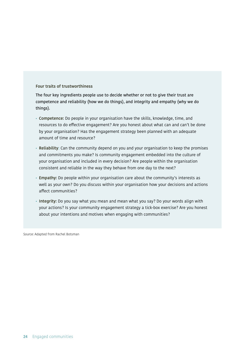#### **Four traits of trustworthiness**

The four key ingredients people use to decide whether or not to give their trust are competence and reliability (how we do things), and integrity and empathy (why we do things).

- **Competence:** Do people in your organisation have the skills, knowledge, time, and resources to do effective engagement? Are you honest about what can and can't be done by your organisation? Has the engagement strategy been planned with an adequate amount of time and resource?
- **Reliability:** Can the community depend on you and your organisation to keep the promises and commitments you make? Is community engagement embedded into the culture of your organisation and included in every decision? Are people within the organisation consistent and reliable in the way they behave from one day to the next?
- **Empathy:** Do people within your organisation care about the community's interests as well as your own? Do you discuss within your organisation how your decisions and actions affect communities?
- **Integrity:** Do you say what you mean and mean what you say? Do your words align with your actions? Is your community engagement strategy a tick-box exercise? Are you honest about your intentions and motives when engaging with communities?

Source: Adapted from Rachel Botsman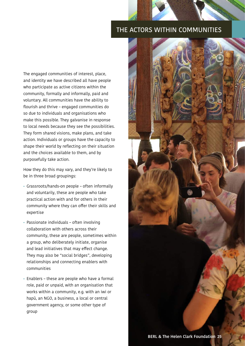#### THE ACTORS WITHIN COMMUNITIES

The engaged communities of interest, place, and identity we have described all have people who participate as active citizens within the community, formally and informally, paid and voluntary. All communities have the ability to flourish and thrive – engaged communities do so due to individuals and organisations who make this possible. They galvanise in response to local needs because they see the possibilities. They form shared visions, make plans, and take action. Individuals or groups have the capacity to shape their world by reflecting on their situation and the choices available to them, and by purposefully take action.

How they do this may vary, and they're likely to be in three broad groupings:

- Grassroots/hands-on people often informally and voluntarily, these are people who take practical action with and for others in their community where they can offer their skills and expertise
- Passionate individuals often involving collaboration with others across their community, these are people, sometimes within a group, who deliberately initiate, organise and lead initiatives that may effect change. They may also be "social bridges", developing relationships and connecting enablers with communities
- Enablers these are people who have a formal role, paid or unpaid, with an organisation that works within a community, e.g. with an iwi or hapū, an NGO, a business, a local or central government agency, or some other type of group

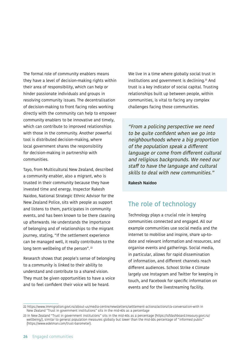The formal role of community enablers means they have a level of decision-making rights within their area of responsibility, which can help or hinder passionate individuals and groups in resolving community issues. The decentralisation of decision-making to front facing roles working directly with the community can help to empower community enablers to be innovative and timely, which can contribute to improved relationships with those in the community. Another powerful tool is distributed decision-making, where local government shares the responsibility for decision-making in partnership with communities.

Tayo, from Multicultural New Zealand, described a community enabler, also a migrant, who is trusted in their community because they have invested time and energy. Inspector Rakesh Naidoo, National Strategic Ethnic Advisor for the New Zealand Police, sits with people as support and listens to them, participates in community events, and has been known to be there cleaning up afterwards. He understands the importance of belonging and of relationships to the migrant journey, stating, "If the settlement experience can be managed well, it really contributes to the long term wellbeing of the person".<sup>22</sup>

Research shows that people's sense of belonging to a community is linked to their ability to understand and contribute to a shared vision. They must be given opportunities to have a voice and to feel confident their voice will be heard.

We live in a time where globally social trust in institutions and government is declining.<sup>23</sup> And trust is a key indicator of social capital. Trusting relationships built up between people, within communities, is vital to facing any complex challenges facing those communities.

"From a policing perspective we need to be quite confident when we go into neighbourhoods where a big proportion of the population speak a different language or come from different cultural and religious backgrounds. We need our staff to have the language and cultural skills to deal with new communities."

**Rakesh Naidoo**

# The role of technology

Technology plays a crucial role in keeping communities connected and engaged. All our example communities use social media and the internet to mobilise and inspire, share up-todate and relevant information and resources, and organise events and gatherings. Social media, in particular, allows for rapid dissemination of information, and different channels reach different audiences. School Strike 4 Climate largely use Instagram and Twitter for keeping in touch, and Facebook for specific information on events and for the livestreaming facility.

<sup>22</sup> https://www.immigration.govt.nz/about-us/media-centre/newsletters/settlement-actionz/actionz1/a-conversation-with In New Zealand "Trust in government institutions" sits in the mid-40s as a percentage

<sup>23</sup> In New Zealand "Trust in government institutions" sits in the mid-40s as a percentage (https://lsfdashboard.treasury.govt.nz/ wellbeing/), similar to general population measures globally but lower than the mid-50s percentage of "informed public" (https://www.edelman.com/trust-barometer).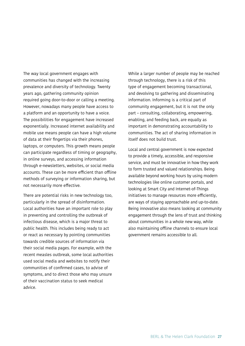The way local government engages with communities has changed with the increasing prevalence and diversity of technology. Twenty years ago, gathering community opinion required going door-to-door or calling a meeting. However, nowadays many people have access to a platform and an opportunity to have a voice. The possibilities for engagement have increased exponentially. Increased internet availability and mobile use means people can have a high volume of data at their fingertips via their phones, laptops, or computers. This growth means people can participate regardless of timing or geography, in online surveys, and accessing information through e-newsletters, websites, or social media accounts. These can be more efficient than offline methods of surveying or information sharing, but not necessarily more effective.

There are potential risks in new technology too, particularly in the spread of disinformation. Local authorities have an important role to play in preventing and controlling the outbreak of infectious disease, which is a major threat to public health. This includes being ready to act or react as necessary by pointing communities towards credible sources of information via their social media pages. For example, with the recent measles outbreak, some local authorities used social media and websites to notify their communities of confirmed cases, to advise of symptoms, and to direct those who may unsure of their vaccination status to seek medical advice.

While a larger number of people may be reached through technology, there is a risk of this type of engagement becoming transactional, and devolving to gathering and disseminating information. Informing is a critical part of community engagement, but it is not the only part – consulting, collaborating, empowering, enabling, and feeding back, are equally as important in demonstrating accountability to communities. The act of sharing information in itself does not build trust.

Local and central government is now expected to provide a timely, accessible, and responsive service, and must be innovative in how they work to form trusted and valued relationships. Being available beyond working hours by using modern technologies like online customer portals, and looking at Smart City and Internet-of-Things initiatives to manage resources more efficiently, are ways of staying approachable and up-to-date. Being innovative also means looking at community engagement through the lens of trust and thinking about communities in a whole new way, while also maintaining offline channels to ensure local government remains accessible to all.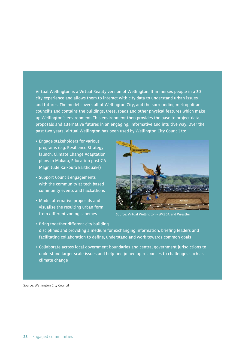Virtual Wellington is a Virtual Reality version of Wellington. It immerses people in a 3D city experience and allows them to interact with city data to understand urban issues and futures. The model covers all of Wellington City, and the surrounding metropolitan council's and contains the buildings, trees, roads and other physical features which make up Wellington's environment. This environment then provides the base to project data, proposals and alternative futures in an engaging, informative and intuitive way. Over the past two years, Virtual Wellington has been used by Wellington City Council to:

- Engage stakeholders for various programs (e.g. Resilience Strategy launch, Climate Change Adaptation plans in Makara, Education post-7.8 Magnitude Kaikoura Earthquake)
- Support Council engagements with the community at tech based community events and hackathons
- Model alternative proposals and visualise the resulting urban form from different zoning schemes



Source: Virtual Wellington - WREDA and Wrestler

- Bring together different city building disciplines and providing a medium for exchanging information, briefing leaders and facilitating collaboration to define, understand and work towards common goals
- Collaborate across local government boundaries and central government jurisdictions to understand larger scale issues and help find joined up responses to challenges such as climate change

Source: Wellington City Council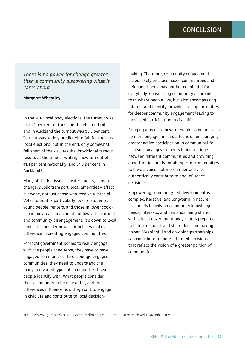There is no power for change greater than a community discovering what it cares about.

#### **Margaret Wheatley**

In the 2016 local body elections, the turnout was just 42 per cent of those on the electoral role, and in Auckland the turnout was 38.5 per cent. Turnout was widely predicted to fall for the 2019 local elections, but in the end, only somewhat fell short of the 2016 results. Provisional turnout results at the time of writing show turnout of 41.4 per cent nationally, and 34.8 per cent in Auckland.24

Many of the big issues – water quality, climate change, public transport, local amenities – affect everyone, not just those who receive a rates bill. Voter turnout is particularly low for students, young people, renters, and those in lower socioeconomic areas. In a climate of low voter turnout and community disengagement, it's down to local bodies to consider how their policies make a difference in creating engaged communities.

For local government bodies to really engage with the people they serve, they have to have engaged communities. To encourage engaged communities, they need to understand the many and varied types of communities those people identify with. What people consider their community to be may differ, and these differences influence how they want to engage in civic life and contribute to local decisionmaking. Therefore, community engagement based solely on place-based communities and neighbourhoods may not be meaningful for everybody. Considering community as broader than where people live, but also encompassing interest and identity, provides rich opportunities for deeper community engagement leading to increased participation in civic life.

Bringing a focus to how to enable communities to be more engaged means a focus on encouraging greater active participation in community life. It means local governments being a bridge between different communities and providing opportunities firstly for all types of communities to have a voice, but more importantly, to authentically contribute to and influence decisions.

Empowering community-led development is complex, iterative, and long-term in nature. It depends heavily on community knowledge, needs, interests, and demands being shared with a local government body that is prepared to listen, respond, and share decision-making power. Meaningful and on-going partnerships can contribute to more informed decisions that reflect the vision of a greater portion of communities.

<sup>24</sup> https://www.lgnz.co.nz/vote2019/voters/preliminary-voter-turnout-2019/ Retrieved 1 November 2019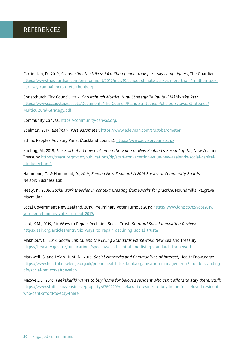Carrington, D., 2019, School climate strikes: 1.4 million people took part, say campaigners, The Guardian: https://www.theguardian.com/environment/2019/mar/19/school-climate-strikes-more-than-1-million-tookpart-say-campaigners-greta-thunberg

Christchurch City Council, 2017, Christchurch Multicultural Strategy: Te Rautaki Mātāwaka Rau: https://www.ccc.govt.nz/assets/Documents/The-Council/Plans-Strategies-Policies-Bylaws/Strategies/ Multicultural-Strategy.pdf

Community Canvas: https://community-canvas.org/

Edelman, 2019, Edelman Trust Barometer: https://www.edelman.com/trust-barometer

Ethnic Peoples Advisory Panel (Auckland Council): https://www.advisorypanels.nz/

Frieling, M., 2018, The Start of a Conversation on the Value of New Zealand's Social Capital, New Zealand Treasury: https://treasury.govt.nz/publications/dp/start-conversation-value-new-zealands-social-capitalhtml#section-9

Hammond, C., & Hammond, D., 2019, Serving New Zealand? A 2018 Survey of Community Boards, Nelson: Business Lab.

Healy, K., 2005, Social work theories in context: Creating frameworks for practice, Houndmills: Palgrave Macmillan.

Local Government New Zealand, 2019, Preliminary Voter Turnout 2019: https://www.lgnz.co.nz/vote2019/ voters/preliminary-voter-turnout-2019/

Lord, K.M., 2019, Six Ways to Repair Declining Social Trust, Stanford Social Innovation Review: https://ssir.org/articles/entry/six\_ways\_to\_repair\_declining\_social\_trust#

Makhlouf, G., 2018, Social Capital and the Living Standards Framework, New Zealand Treasury: https://treasury.govt.nz/publications/speech/social-capital-and-living-standards-framework

Markwell, S. and Leigh-Hunt, N., 2016, Social Networks and Communities of Interest, HealthKnowledge: https://www.healthknowledge.org.uk/public-health-textbook/organisation-management/5b-understandingofs/social-networks#develop

Maxwell, J., 2016, Paekakariki wants to buy home for beloved resident who can't afford to stay there, Stuff: https://www.stuff.co.nz/business/property/87809909/paekakariki-wants-to-buy-home-for-beloved-residentwho-cant-afford-to-stay-there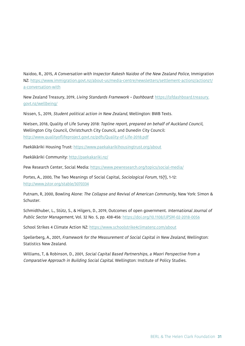Naidoo, R., 2015, A Conversation with Inspector Rakesh Naidoo of the New Zealand Police, Immigration NZ: https://www.immigration.govt.nz/about-us/media-centre/newsletters/settlement-actionz/actionz1/ a-conversation-with

New Zealand Treasury, 2019, Living Standards Framework - Dashboard: https://lsfdashboard.treasury. govt.nz/wellbeing/

Nissen, S., 2019, Student political action in New Zealand, Wellington: BWB Texts.

Nielsen, 2018, Quality of Life Survey 2018: Topline report, prepared on behalf of Auckland Council, Wellington City Council, Christchurch City Council, and Dunedin City Council: http://www.qualityoflifeproject.govt.nz/pdfs/Quality-of-Life-2018.pdf

Paekākāriki Housing Trust: https://www.paekakarikihousingtrust.org/about

Paekākāriki Community: http://paekakariki.nz/

Pew Research Center, Social Media: https://www.pewresearch.org/topics/social-media/

Portes, A., 2000, The Two Meanings of Social Capital, Sociological Forum, 15(1), 1-12: http://www.jstor.org/stable/3070334

Putnam, R, 2000, Bowling Alone: The Collapse and Revival of American Community, New York: Simon & Schuster.

Schmidthuber, L., Stütz, S., & Hilgers, D., 2019, Outcomes of open government. International Journal of Public Sector Management, Vol. 32 No. 5, pp. 438-456: https://doi.org/10.1108/IJPSM-02-2018-0056

School Strikes 4 Climate Action NZ: https://www.schoolstrike4climatenz.com/about

Spellerberg, A., 2001, Framework for the Measurement of Social Capital in New Zealand, Wellington: Statistics New Zealand.

Williams, T, & Robinson, D., 2001, Social Capital Based Partnerships, a Maori Perspective from a Comparative Approach in Building Social Capital. Wellington: Institute of Policy Studies.